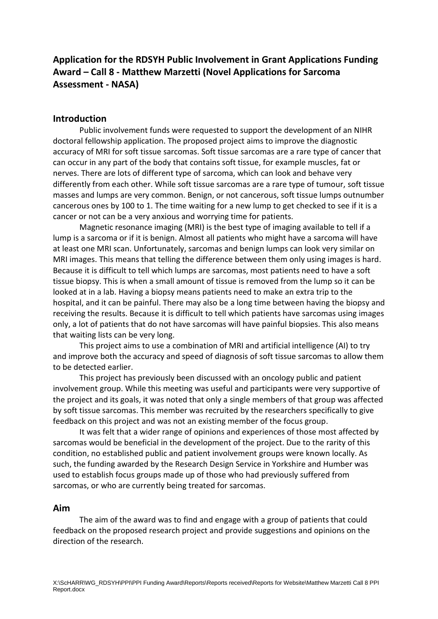# **Application for the RDSYH Public Involvement in Grant Applications Funding Award – Call 8 - Matthew Marzetti (Novel Applications for Sarcoma Assessment - NASA)**

## **Introduction**

Public involvement funds were requested to support the development of an NIHR doctoral fellowship application. The proposed project aims to improve the diagnostic accuracy of MRI for soft tissue sarcomas. Soft tissue sarcomas are a rare type of cancer that can occur in any part of the body that contains soft tissue, for example muscles, fat or nerves. There are lots of different type of sarcoma, which can look and behave very differently from each other. While soft tissue sarcomas are a rare type of tumour, soft tissue masses and lumps are very common. Benign, or not cancerous, soft tissue lumps outnumber cancerous ones by 100 to 1. The time waiting for a new lump to get checked to see if it is a cancer or not can be a very anxious and worrying time for patients.

Magnetic resonance imaging (MRI) is the best type of imaging available to tell if a lump is a sarcoma or if it is benign. Almost all patients who might have a sarcoma will have at least one MRI scan. Unfortunately, sarcomas and benign lumps can look very similar on MRI images. This means that telling the difference between them only using images is hard. Because it is difficult to tell which lumps are sarcomas, most patients need to have a soft tissue biopsy. This is when a small amount of tissue is removed from the lump so it can be looked at in a lab. Having a biopsy means patients need to make an extra trip to the hospital, and it can be painful. There may also be a long time between having the biopsy and receiving the results. Because it is difficult to tell which patients have sarcomas using images only, a lot of patients that do not have sarcomas will have painful biopsies. This also means that waiting lists can be very long.

This project aims to use a combination of MRI and artificial intelligence (AI) to try and improve both the accuracy and speed of diagnosis of soft tissue sarcomas to allow them to be detected earlier.

This project has previously been discussed with an oncology public and patient involvement group. While this meeting was useful and participants were very supportive of the project and its goals, it was noted that only a single members of that group was affected by soft tissue sarcomas. This member was recruited by the researchers specifically to give feedback on this project and was not an existing member of the focus group.

It was felt that a wider range of opinions and experiences of those most affected by sarcomas would be beneficial in the development of the project. Due to the rarity of this condition, no established public and patient involvement groups were known locally. As such, the funding awarded by the Research Design Service in Yorkshire and Humber was used to establish focus groups made up of those who had previously suffered from sarcomas, or who are currently being treated for sarcomas.

## **Aim**

The aim of the award was to find and engage with a group of patients that could feedback on the proposed research project and provide suggestions and opinions on the direction of the research.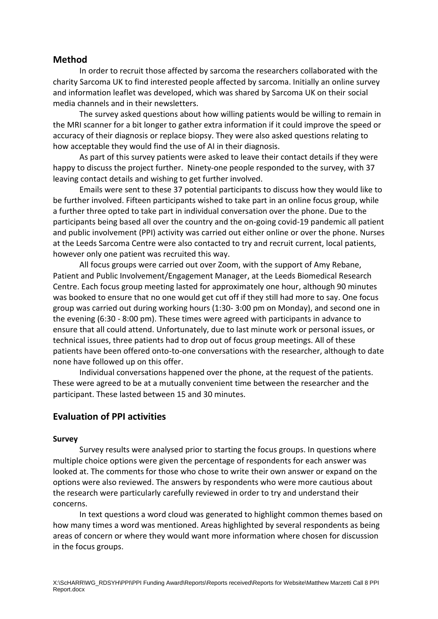## **Method**

In order to recruit those affected by sarcoma the researchers collaborated with the charity Sarcoma UK to find interested people affected by sarcoma. Initially an online survey and information leaflet was developed, which was shared by Sarcoma UK on their social media channels and in their newsletters.

The survey asked questions about how willing patients would be willing to remain in the MRI scanner for a bit longer to gather extra information if it could improve the speed or accuracy of their diagnosis or replace biopsy. They were also asked questions relating to how acceptable they would find the use of AI in their diagnosis.

As part of this survey patients were asked to leave their contact details if they were happy to discuss the project further. Ninety-one people responded to the survey, with 37 leaving contact details and wishing to get further involved.

Emails were sent to these 37 potential participants to discuss how they would like to be further involved. Fifteen participants wished to take part in an online focus group, while a further three opted to take part in individual conversation over the phone. Due to the participants being based all over the country and the on-going covid-19 pandemic all patient and public involvement (PPI) activity was carried out either online or over the phone. Nurses at the Leeds Sarcoma Centre were also contacted to try and recruit current, local patients, however only one patient was recruited this way.

All focus groups were carried out over Zoom, with the support of Amy Rebane, Patient and Public Involvement/Engagement Manager, at the Leeds Biomedical Research Centre. Each focus group meeting lasted for approximately one hour, although 90 minutes was booked to ensure that no one would get cut off if they still had more to say. One focus group was carried out during working hours (1:30- 3:00 pm on Monday), and second one in the evening (6:30 - 8:00 pm). These times were agreed with participants in advance to ensure that all could attend. Unfortunately, due to last minute work or personal issues, or technical issues, three patients had to drop out of focus group meetings. All of these patients have been offered onto-to-one conversations with the researcher, although to date none have followed up on this offer.

Individual conversations happened over the phone, at the request of the patients. These were agreed to be at a mutually convenient time between the researcher and the participant. These lasted between 15 and 30 minutes.

# **Evaluation of PPI activities**

#### **Survey**

Survey results were analysed prior to starting the focus groups. In questions where multiple choice options were given the percentage of respondents for each answer was looked at. The comments for those who chose to write their own answer or expand on the options were also reviewed. The answers by respondents who were more cautious about the research were particularly carefully reviewed in order to try and understand their concerns.

In text questions a word cloud was generated to highlight common themes based on how many times a word was mentioned. Areas highlighted by several respondents as being areas of concern or where they would want more information where chosen for discussion in the focus groups.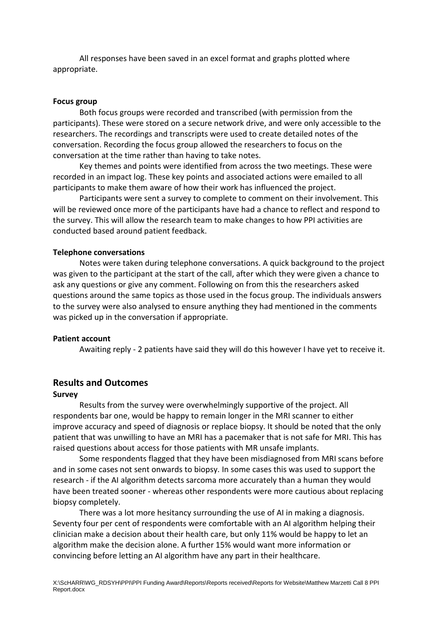All responses have been saved in an excel format and graphs plotted where appropriate.

#### **Focus group**

Both focus groups were recorded and transcribed (with permission from the participants). These were stored on a secure network drive, and were only accessible to the researchers. The recordings and transcripts were used to create detailed notes of the conversation. Recording the focus group allowed the researchers to focus on the conversation at the time rather than having to take notes.

Key themes and points were identified from across the two meetings. These were recorded in an impact log. These key points and associated actions were emailed to all participants to make them aware of how their work has influenced the project.

Participants were sent a survey to complete to comment on their involvement. This will be reviewed once more of the participants have had a chance to reflect and respond to the survey. This will allow the research team to make changes to how PPI activities are conducted based around patient feedback.

#### **Telephone conversations**

Notes were taken during telephone conversations. A quick background to the project was given to the participant at the start of the call, after which they were given a chance to ask any questions or give any comment. Following on from this the researchers asked questions around the same topics as those used in the focus group. The individuals answers to the survey were also analysed to ensure anything they had mentioned in the comments was picked up in the conversation if appropriate.

#### **Patient account**

Awaiting reply - 2 patients have said they will do this however I have yet to receive it.

## **Results and Outcomes**

#### **Survey**

Results from the survey were overwhelmingly supportive of the project. All respondents bar one, would be happy to remain longer in the MRI scanner to either improve accuracy and speed of diagnosis or replace biopsy. It should be noted that the only patient that was unwilling to have an MRI has a pacemaker that is not safe for MRI. This has raised questions about access for those patients with MR unsafe implants.

Some respondents flagged that they have been misdiagnosed from MRI scans before and in some cases not sent onwards to biopsy. In some cases this was used to support the research - if the AI algorithm detects sarcoma more accurately than a human they would have been treated sooner - whereas other respondents were more cautious about replacing biopsy completely.

There was a lot more hesitancy surrounding the use of AI in making a diagnosis. Seventy four per cent of respondents were comfortable with an AI algorithm helping their clinician make a decision about their health care, but only 11% would be happy to let an algorithm make the decision alone. A further 15% would want more information or convincing before letting an AI algorithm have any part in their healthcare.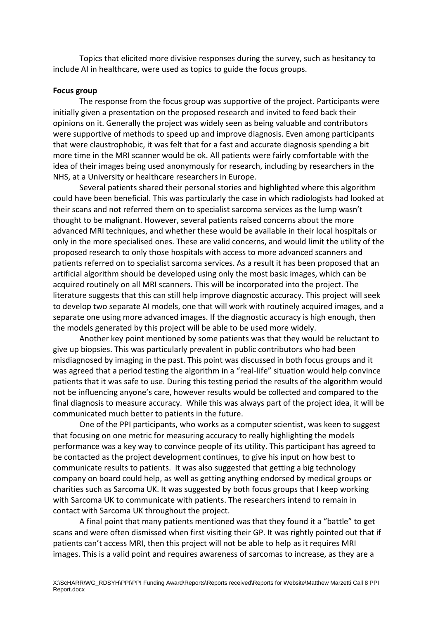Topics that elicited more divisive responses during the survey, such as hesitancy to include AI in healthcare, were used as topics to guide the focus groups.

#### **Focus group**

The response from the focus group was supportive of the project. Participants were initially given a presentation on the proposed research and invited to feed back their opinions on it. Generally the project was widely seen as being valuable and contributors were supportive of methods to speed up and improve diagnosis. Even among participants that were claustrophobic, it was felt that for a fast and accurate diagnosis spending a bit more time in the MRI scanner would be ok. All patients were fairly comfortable with the idea of their images being used anonymously for research, including by researchers in the NHS, at a University or healthcare researchers in Europe.

Several patients shared their personal stories and highlighted where this algorithm could have been beneficial. This was particularly the case in which radiologists had looked at their scans and not referred them on to specialist sarcoma services as the lump wasn't thought to be malignant. However, several patients raised concerns about the more advanced MRI techniques, and whether these would be available in their local hospitals or only in the more specialised ones. These are valid concerns, and would limit the utility of the proposed research to only those hospitals with access to more advanced scanners and patients referred on to specialist sarcoma services. As a result it has been proposed that an artificial algorithm should be developed using only the most basic images, which can be acquired routinely on all MRI scanners. This will be incorporated into the project. The literature suggests that this can still help improve diagnostic accuracy. This project will seek to develop two separate AI models, one that will work with routinely acquired images, and a separate one using more advanced images. If the diagnostic accuracy is high enough, then the models generated by this project will be able to be used more widely.

Another key point mentioned by some patients was that they would be reluctant to give up biopsies. This was particularly prevalent in public contributors who had been misdiagnosed by imaging in the past. This point was discussed in both focus groups and it was agreed that a period testing the algorithm in a "real-life" situation would help convince patients that it was safe to use. During this testing period the results of the algorithm would not be influencing anyone's care, however results would be collected and compared to the final diagnosis to measure accuracy. While this was always part of the project idea, it will be communicated much better to patients in the future.

One of the PPI participants, who works as a computer scientist, was keen to suggest that focusing on one metric for measuring accuracy to really highlighting the models performance was a key way to convince people of its utility. This participant has agreed to be contacted as the project development continues, to give his input on how best to communicate results to patients. It was also suggested that getting a big technology company on board could help, as well as getting anything endorsed by medical groups or charities such as Sarcoma UK. It was suggested by both focus groups that I keep working with Sarcoma UK to communicate with patients. The researchers intend to remain in contact with Sarcoma UK throughout the project.

A final point that many patients mentioned was that they found it a "battle" to get scans and were often dismissed when first visiting their GP. It was rightly pointed out that if patients can't access MRI, then this project will not be able to help as it requires MRI images. This is a valid point and requires awareness of sarcomas to increase, as they are a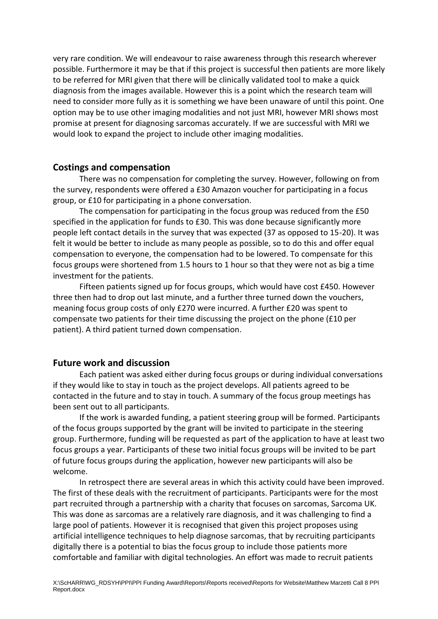very rare condition. We will endeavour to raise awareness through this research wherever possible. Furthermore it may be that if this project is successful then patients are more likely to be referred for MRI given that there will be clinically validated tool to make a quick diagnosis from the images available. However this is a point which the research team will need to consider more fully as it is something we have been unaware of until this point. One option may be to use other imaging modalities and not just MRI, however MRI shows most promise at present for diagnosing sarcomas accurately. If we are successful with MRI we would look to expand the project to include other imaging modalities.

## **Costings and compensation**

There was no compensation for completing the survey. However, following on from the survey, respondents were offered a £30 Amazon voucher for participating in a focus group, or £10 for participating in a phone conversation.

The compensation for participating in the focus group was reduced from the £50 specified in the application for funds to £30. This was done because significantly more people left contact details in the survey that was expected (37 as opposed to 15-20). It was felt it would be better to include as many people as possible, so to do this and offer equal compensation to everyone, the compensation had to be lowered. To compensate for this focus groups were shortened from 1.5 hours to 1 hour so that they were not as big a time investment for the patients.

Fifteen patients signed up for focus groups, which would have cost £450. However three then had to drop out last minute, and a further three turned down the vouchers, meaning focus group costs of only £270 were incurred. A further £20 was spent to compensate two patients for their time discussing the project on the phone (£10 per patient). A third patient turned down compensation.

# **Future work and discussion**

Each patient was asked either during focus groups or during individual conversations if they would like to stay in touch as the project develops. All patients agreed to be contacted in the future and to stay in touch. A summary of the focus group meetings has been sent out to all participants.

If the work is awarded funding, a patient steering group will be formed. Participants of the focus groups supported by the grant will be invited to participate in the steering group. Furthermore, funding will be requested as part of the application to have at least two focus groups a year. Participants of these two initial focus groups will be invited to be part of future focus groups during the application, however new participants will also be welcome.

In retrospect there are several areas in which this activity could have been improved. The first of these deals with the recruitment of participants. Participants were for the most part recruited through a partnership with a charity that focuses on sarcomas, Sarcoma UK. This was done as sarcomas are a relatively rare diagnosis, and it was challenging to find a large pool of patients. However it is recognised that given this project proposes using artificial intelligence techniques to help diagnose sarcomas, that by recruiting participants digitally there is a potential to bias the focus group to include those patients more comfortable and familiar with digital technologies. An effort was made to recruit patients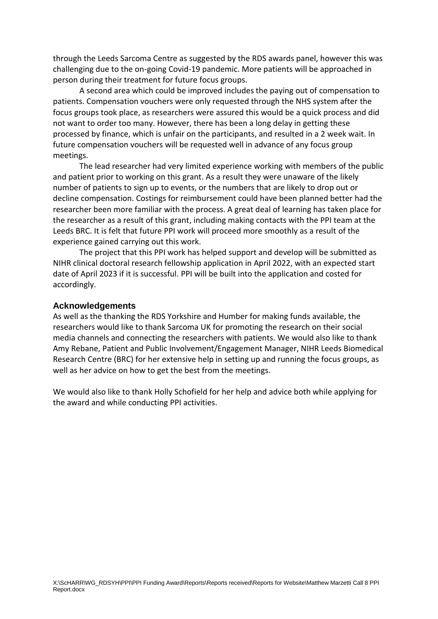through the Leeds Sarcoma Centre as suggested by the RDS awards panel, however this was challenging due to the on-going Covid-19 pandemic. More patients will be approached in person during their treatment for future focus groups.

A second area which could be improved includes the paying out of compensation to patients. Compensation vouchers were only requested through the NHS system after the focus groups took place, as researchers were assured this would be a quick process and did not want to order too many. However, there has been a long delay in getting these processed by finance, which is unfair on the participants, and resulted in a 2 week wait. In future compensation vouchers will be requested well in advance of any focus group meetings.

The lead researcher had very limited experience working with members of the public and patient prior to working on this grant. As a result they were unaware of the likely number of patients to sign up to events, or the numbers that are likely to drop out or decline compensation. Costings for reimbursement could have been planned better had the researcher been more familiar with the process. A great deal of learning has taken place for the researcher as a result of this grant, including making contacts with the PPI team at the Leeds BRC. It is felt that future PPI work will proceed more smoothly as a result of the experience gained carrying out this work.

The project that this PPI work has helped support and develop will be submitted as NIHR clinical doctoral research fellowship application in April 2022, with an expected start date of April 2023 if it is successful. PPI will be built into the application and costed for accordingly.

#### **Acknowledgements**

As well as the thanking the RDS Yorkshire and Humber for making funds available, the researchers would like to thank Sarcoma UK for promoting the research on their social media channels and connecting the researchers with patients. We would also like to thank Amy Rebane, Patient and Public Involvement/Engagement Manager, NIHR Leeds Biomedical Research Centre (BRC) for her extensive help in setting up and running the focus groups, as well as her advice on how to get the best from the meetings.

We would also like to thank Holly Schofield for her help and advice both while applying for the award and while conducting PPI activities.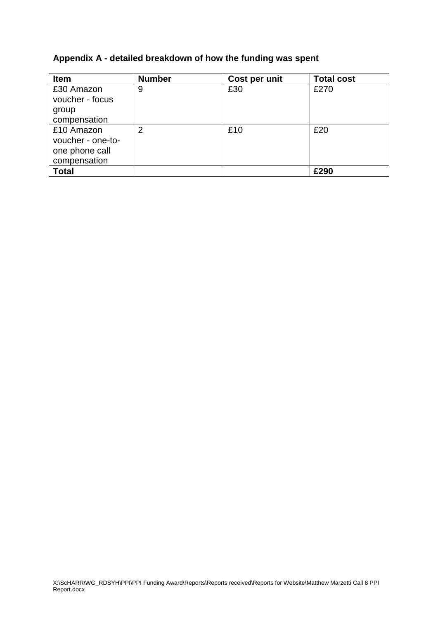# **Appendix A - detailed breakdown of how the funding was spent**

| Item              | <b>Number</b>  | Cost per unit | <b>Total cost</b> |
|-------------------|----------------|---------------|-------------------|
| £30 Amazon        | 9              | £30           | £270              |
| voucher - focus   |                |               |                   |
| group             |                |               |                   |
| compensation      |                |               |                   |
| £10 Amazon        | $\overline{2}$ | £10           | £20               |
| voucher - one-to- |                |               |                   |
| one phone call    |                |               |                   |
| compensation      |                |               |                   |
| <b>Total</b>      |                |               | £290              |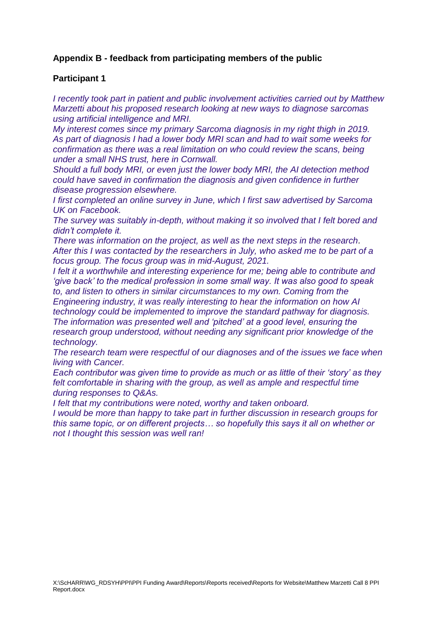# **Appendix B - feedback from participating members of the public**

## **Participant 1**

*I recently took part in patient and public involvement activities carried out by Matthew Marzetti about his proposed research looking at new ways to diagnose sarcomas using artificial intelligence and MRI.*

*My interest comes since my primary Sarcoma diagnosis in my right thigh in 2019. As part of diagnosis I had a lower body MRI scan and had to wait some weeks for confirmation as there was a real limitation on who could review the scans, being under a small NHS trust, here in Cornwall.*

*Should a full body MRI, or even just the lower body MRI, the AI detection method could have saved in confirmation the diagnosis and given confidence in further disease progression elsewhere.*

*I first completed an online survey in June, which I first saw advertised by Sarcoma UK on Facebook.*

*The survey was suitably in-depth, without making it so involved that I felt bored and didn't complete it.*

*There was information on the project, as well as the next steps in the research. After this I was contacted by the researchers in July, who asked me to be part of a focus group. The focus group was in mid-August, 2021.*

*I felt it a worthwhile and interesting experience for me; being able to contribute and 'give back' to the medical profession in some small way. It was also good to speak to, and listen to others in similar circumstances to my own. Coming from the* 

*Engineering industry, it was really interesting to hear the information on how AI technology could be implemented to improve the standard pathway for diagnosis. The information was presented well and 'pitched' at a good level, ensuring the research group understood, without needing any significant prior knowledge of the technology.*

*The research team were respectful of our diagnoses and of the issues we face when living with Cancer.*

*Each contributor was given time to provide as much or as little of their 'story' as they felt comfortable in sharing with the group, as well as ample and respectful time during responses to Q&As.*

*I felt that my contributions were noted, worthy and taken onboard.*

*I would be more than happy to take part in further discussion in research groups for this same topic, or on different projects… so hopefully this says it all on whether or not I thought this session was well ran!*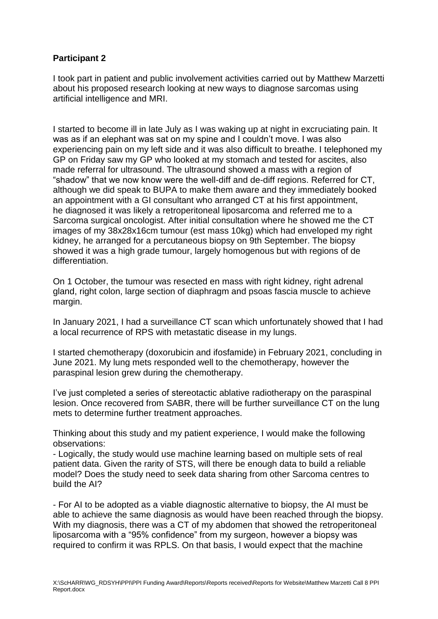# **Participant 2**

I took part in patient and public involvement activities carried out by Matthew Marzetti about his proposed research looking at new ways to diagnose sarcomas using artificial intelligence and MRI.

I started to become ill in late July as I was waking up at night in excruciating pain. It was as if an elephant was sat on my spine and I couldn't move. I was also experiencing pain on my left side and it was also difficult to breathe. I telephoned my GP on Friday saw my GP who looked at my stomach and tested for ascites, also made referral for ultrasound. The ultrasound showed a mass with a region of "shadow" that we now know were the well-diff and de-diff regions. Referred for CT, although we did speak to BUPA to make them aware and they immediately booked an appointment with a GI consultant who arranged CT at his first appointment, he diagnosed it was likely a retroperitoneal liposarcoma and referred me to a Sarcoma surgical oncologist. After initial consultation where he showed me the CT images of my 38x28x16cm tumour (est mass 10kg) which had enveloped my right kidney, he arranged for a percutaneous biopsy on 9th September. The biopsy showed it was a high grade tumour, largely homogenous but with regions of de differentiation.

On 1 October, the tumour was resected en mass with right kidney, right adrenal gland, right colon, large section of diaphragm and psoas fascia muscle to achieve margin.

In January 2021, I had a surveillance CT scan which unfortunately showed that I had a local recurrence of RPS with metastatic disease in my lungs.

I started chemotherapy (doxorubicin and ifosfamide) in February 2021, concluding in June 2021. My lung mets responded well to the chemotherapy, however the paraspinal lesion grew during the chemotherapy.

I've just completed a series of stereotactic ablative radiotherapy on the paraspinal lesion. Once recovered from SABR, there will be further surveillance CT on the lung mets to determine further treatment approaches.

Thinking about this study and my patient experience, I would make the following observations:

- Logically, the study would use machine learning based on multiple sets of real patient data. Given the rarity of STS, will there be enough data to build a reliable model? Does the study need to seek data sharing from other Sarcoma centres to build the AI?

- For AI to be adopted as a viable diagnostic alternative to biopsy, the AI must be able to achieve the same diagnosis as would have been reached through the biopsy. With my diagnosis, there was a CT of my abdomen that showed the retroperitoneal liposarcoma with a "95% confidence" from my surgeon, however a biopsy was required to confirm it was RPLS. On that basis, I would expect that the machine